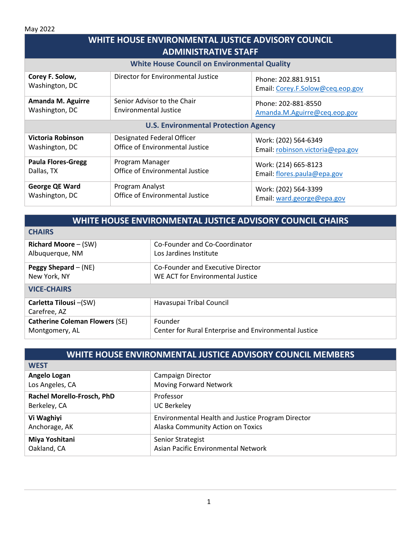May 2022

| WHITE HOUSE ENVIRONMENTAL JUSTICE ADVISORY COUNCIL<br><b>ADMINISTRATIVE STAFF</b> |                                    |                                                         |  |
|-----------------------------------------------------------------------------------|------------------------------------|---------------------------------------------------------|--|
| <b>White House Council on Environmental Quality</b>                               |                                    |                                                         |  |
| Corey F. Solow,<br>Washington, DC                                                 | Director for Environmental Justice | Phone: 202.881.9151<br>Email: Corey.F.Solow@ceq.eop.gov |  |
| <b>Amanda M. Aguirre</b>                                                          | Senior Advisor to the Chair        | Phone: 202-881-8550                                     |  |
| Washington, DC                                                                    | <b>Environmental Justice</b>       | Amanda.M.Aguirre@ceq.eop.gov                            |  |
| <b>U.S. Environmental Protection Agency</b>                                       |                                    |                                                         |  |
| Victoria Robinson                                                                 | Designated Federal Officer         | Work: (202) 564-6349                                    |  |
| Washington, DC                                                                    | Office of Environmental Justice    | Email: robinson.victoria@epa.gov                        |  |
| <b>Paula Flores-Gregg</b>                                                         | Program Manager                    | Work: (214) 665-8123                                    |  |
| Dallas, TX                                                                        | Office of Environmental Justice    | Email: flores.paula@epa.gov                             |  |
| George QE Ward                                                                    | Program Analyst                    | Work: (202) 564-3399                                    |  |
| Washington, DC                                                                    | Office of Environmental Justice    | Email: ward.george@epa.gov                              |  |

| WHITE HOUSE ENVIRONMENTAL JUSTICE ADVISORY COUNCIL CHAIRS |                                                                       |  |
|-----------------------------------------------------------|-----------------------------------------------------------------------|--|
| <b>CHAIRS</b>                                             |                                                                       |  |
| <b>Richard Moore - (SW)</b><br>Albuquerque, NM            | Co-Founder and Co-Coordinator<br>Los Jardines Institute               |  |
| Peggy Shepard $-$ (NE)<br>New York, NY                    | Co-Founder and Executive Director<br>WE ACT for Environmental Justice |  |
| <b>VICE-CHAIRS</b>                                        |                                                                       |  |
| Carletta Tilousi – (SW)<br>Carefree, AZ                   | Havasupai Tribal Council                                              |  |
| <b>Catherine Coleman Flowers (SE)</b><br>Montgomery, AL   | Founder<br>Center for Rural Enterprise and Environmental Justice      |  |

| WHITE HOUSE ENVIRONMENTAL JUSTICE ADVISORY COUNCIL MEMBERS |                                                   |  |
|------------------------------------------------------------|---------------------------------------------------|--|
| <b>WEST</b>                                                |                                                   |  |
| Angelo Logan                                               | Campaign Director                                 |  |
| Los Angeles, CA                                            | Moving Forward Network                            |  |
| Rachel Morello-Frosch, PhD                                 | Professor                                         |  |
| Berkeley, CA                                               | <b>UC Berkeley</b>                                |  |
| Vi Waghiyi                                                 | Environmental Health and Justice Program Director |  |
| Anchorage, AK                                              | Alaska Community Action on Toxics                 |  |
| Miya Yoshitani                                             | Senior Strategist                                 |  |
| Oakland, CA                                                | Asian Pacific Environmental Network               |  |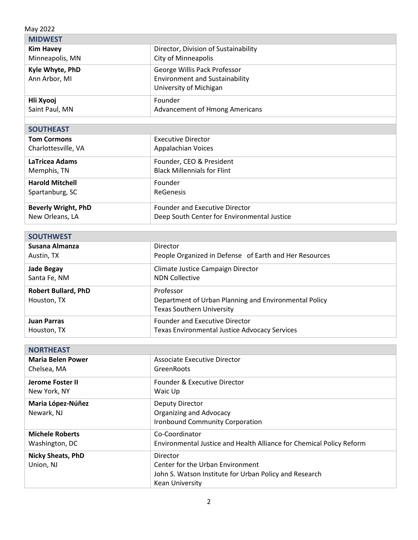| May 2022                   |                                                        |  |
|----------------------------|--------------------------------------------------------|--|
| <b>MIDWEST</b>             |                                                        |  |
| <b>Kim Havey</b>           | Director, Division of Sustainability                   |  |
| Minneapolis, MN            | <b>City of Minneapolis</b>                             |  |
| Kyle Whyte, PhD            | George Willis Pack Professor                           |  |
| Ann Arbor, MI              | <b>Environment and Sustainability</b>                  |  |
|                            | University of Michigan                                 |  |
| Hli Xyooj                  | Founder                                                |  |
| Saint Paul, MN             | <b>Advancement of Hmong Americans</b>                  |  |
|                            |                                                        |  |
| <b>SOUTHEAST</b>           |                                                        |  |
| <b>Tom Cormons</b>         | <b>Executive Director</b>                              |  |
| Charlottesville, VA        | <b>Appalachian Voices</b>                              |  |
| LaTricea Adams             | Founder, CEO & President                               |  |
| Memphis, TN                | <b>Black Millennials for Flint</b>                     |  |
| <b>Harold Mitchell</b>     | Founder                                                |  |
| Spartanburg, SC            | <b>ReGenesis</b>                                       |  |
| <b>Beverly Wright, PhD</b> | <b>Founder and Executive Director</b>                  |  |
| New Orleans, LA            | Deep South Center for Environmental Justice            |  |
|                            |                                                        |  |
| <b>SOUTHWEST</b>           |                                                        |  |
| Susana Almanza             | Director                                               |  |
| Austin, TX                 | People Organized in Defense of Earth and Her Resources |  |
| <b>Jade Begay</b>          | Climate Justice Campaign Director                      |  |
| Santa Fe, NM               | <b>NDN Collective</b>                                  |  |
| <b>Robert Bullard, PhD</b> | Professor                                              |  |

ī

| Houston, TX | Department of Urban Planning and Environmental Policy<br><b>Texas Southern University</b> |
|-------------|-------------------------------------------------------------------------------------------|
| Juan Parras | Founder and Executive Director                                                            |
| Houston, TX | Texas Environmental Justice Advocacy Services                                             |

| <b>NORTHEAST</b>                      |                                                                                                                                  |
|---------------------------------------|----------------------------------------------------------------------------------------------------------------------------------|
| <b>Maria Belen Power</b>              | Associate Executive Director                                                                                                     |
| Chelsea, MA                           | GreenRoots                                                                                                                       |
| Jerome Foster II                      | Founder & Executive Director                                                                                                     |
| New York, NY                          | Waic Up                                                                                                                          |
| Maria López-Núñez<br>Newark, NJ       | Deputy Director<br><b>Organizing and Advocacy</b><br>Ironbound Community Corporation                                             |
| <b>Michele Roberts</b>                | Co-Coordinator                                                                                                                   |
| Washington, DC                        | Environmental Justice and Health Alliance for Chemical Policy Reform                                                             |
| <b>Nicky Sheats, PhD</b><br>Union, NJ | Director<br>Center for the Urban Environment<br>John S. Watson Institute for Urban Policy and Research<br><b>Kean University</b> |